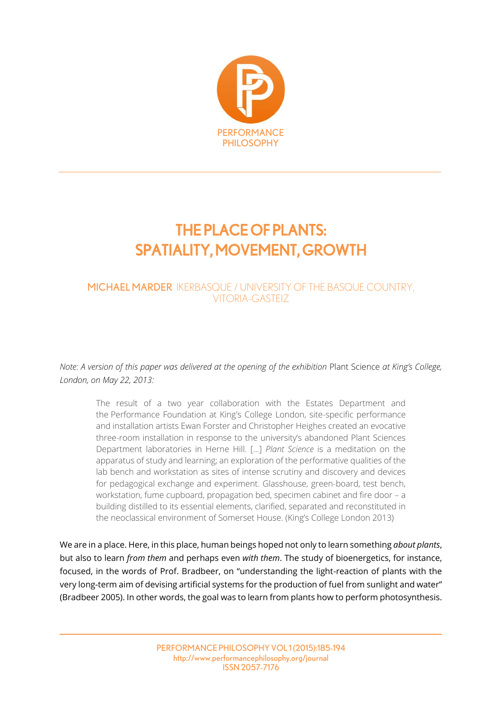

# THE PLACE OF PLANTS: SPATIALITY, MOVEMENT, GROWTH

# MICHAEL MARDER IKERBASQUE / UNIVERSITY OF THE BASQUE COUNTRY, VITORIA-GASTEIZ

*Note: A version of this paper was delivered at the opening of the exhibition* Plant Science *at King's College, London, on May 22, 2013:*

The result of a two year collaboration with the Estates Department and the Performance Foundation at King's College London, site-specific performance and installation artists Ewan Forster and Christopher Heighes created an evocative three-room installation in response to the university's abandoned Plant Sciences Department laboratories in Herne Hill. […] *Plant Science* is a meditation on the apparatus of study and learning; an exploration of the performative qualities of the lab bench and workstation as sites of intense scrutiny and discovery and devices for pedagogical exchange and experiment. Glasshouse, green-board, test bench, workstation, fume cupboard, propagation bed, specimen cabinet and fire door – a building distilled to its essential elements, clarified, separated and reconstituted in the neoclassical environment of Somerset House. (King's College London 2013)

We are in a place. Here, in this place, human beings hoped not only to learn something *about plants*, but also to learn *from them* and perhaps even *with them*. The study of bioenergetics, for instance, focused, in the words of Prof. Bradbeer, on "understanding the light-reaction of plants with the very long-term aim of devising artificial systems for the production of fuel from sunlight and water" (Bradbeer 2005). In other words, the goal was to learn from plants how to perform photosynthesis.

> PERFORMANCE PHILOSOPHY VOL1(2015):185-194 http://www.performancephilosophy.org/journal ISSN 2057-7176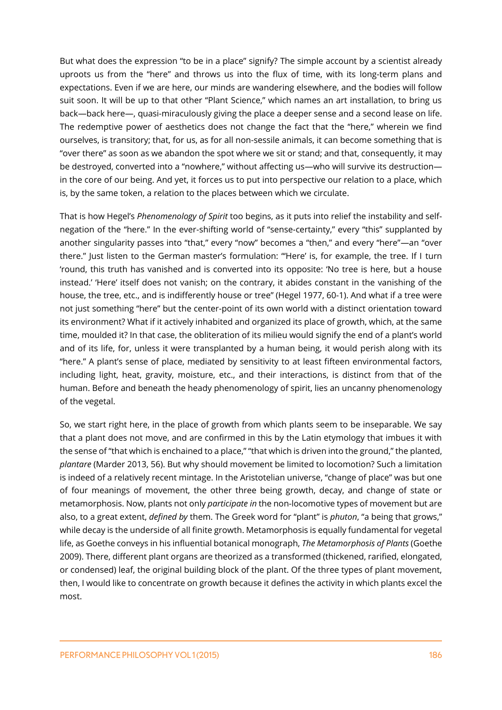But what does the expression "to be in a place" signify? The simple account by a scientist already uproots us from the "here" and throws us into the flux of time, with its long-term plans and expectations. Even if we are here, our minds are wandering elsewhere, and the bodies will follow suit soon. It will be up to that other "Plant Science," which names an art installation, to bring us back—back here—, quasi-miraculously giving the place a deeper sense and a second lease on life. The redemptive power of aesthetics does not change the fact that the "here," wherein we find ourselves, is transitory; that, for us, as for all non-sessile animals, it can become something that is "over there" as soon as we abandon the spot where we sit or stand; and that, consequently, it may be destroyed, converted into a "nowhere," without affecting us—who will survive its destruction in the core of our being. And yet, it forces us to put into perspective our relation to a place, which is, by the same token, a relation to the places between which we circulate.

That is how Hegel's *Phenomenology of Spirit* too begins, as it puts into relief the instability and selfnegation of the "here." In the ever-shifting world of "sense-certainty," every "this" supplanted by another singularity passes into "that," every "now" becomes a "then," and every "here"—an "over there." Just listen to the German master's formulation: "'Here' is, for example, the tree. If I turn 'round, this truth has vanished and is converted into its opposite: 'No tree is here, but a house instead.' 'Here' itself does not vanish; on the contrary, it abides constant in the vanishing of the house, the tree, etc., and is indifferently house or tree" (Hegel 1977, 60-1). And what if a tree were not just something "here" but the center-point of its own world with a distinct orientation toward its environment? What if it actively inhabited and organized its place of growth, which, at the same time, moulded it? In that case, the obliteration of its milieu would signify the end of a plant's world and of its life, for, unless it were transplanted by a human being, it would perish along with its "here." A plant's sense of place, mediated by sensitivity to at least fifteen environmental factors, including light, heat, gravity, moisture, etc., and their interactions, is distinct from that of the human. Before and beneath the heady phenomenology of spirit, lies an uncanny phenomenology of the vegetal.

So, we start right here, in the place of growth from which plants seem to be inseparable. We say that a plant does not move, and are confirmed in this by the Latin etymology that imbues it with the sense of "that which is enchained to a place," "that which is driven into the ground," the planted, *plantare* (Marder 2013, 56). But why should movement be limited to locomotion? Such a limitation is indeed of a relatively recent mintage. In the Aristotelian universe, "change of place" was but one of four meanings of movement, the other three being growth, decay, and change of state or metamorphosis. Now, plants not only *participate in* the non-locomotive types of movement but are also, to a great extent, *defined by* them. The Greek word for "plant" is *phuton*, "a being that grows," while decay is the underside of all finite growth. Metamorphosis is equally fundamental for vegetal life, as Goethe conveys in his influential botanical monograph, *The Metamorphosis of Plants* (Goethe 2009). There, different plant organs are theorized as a transformed (thickened, rarified, elongated, or condensed) leaf, the original building block of the plant. Of the three types of plant movement, then, I would like to concentrate on growth because it defines the activity in which plants excel the most.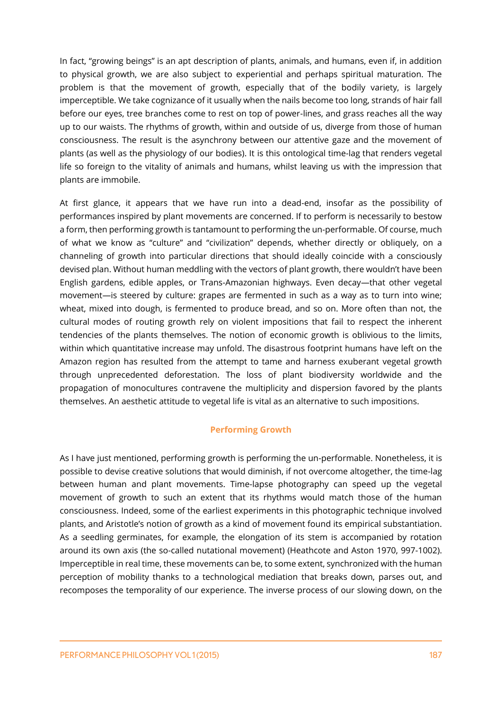In fact, "growing beings" is an apt description of plants, animals, and humans, even if, in addition to physical growth, we are also subject to experiential and perhaps spiritual maturation. The problem is that the movement of growth, especially that of the bodily variety, is largely imperceptible. We take cognizance of it usually when the nails become too long, strands of hair fall before our eyes, tree branches come to rest on top of power-lines, and grass reaches all the way up to our waists. The rhythms of growth, within and outside of us, diverge from those of human consciousness. The result is the asynchrony between our attentive gaze and the movement of plants (as well as the physiology of our bodies). It is this ontological time-lag that renders vegetal life so foreign to the vitality of animals and humans, whilst leaving us with the impression that plants are immobile.

At first glance, it appears that we have run into a dead-end, insofar as the possibility of performances inspired by plant movements are concerned. If to perform is necessarily to bestow a form, then performing growth is tantamount to performing the un-performable. Of course, much of what we know as "culture" and "civilization" depends, whether directly or obliquely, on a channeling of growth into particular directions that should ideally coincide with a consciously devised plan. Without human meddling with the vectors of plant growth, there wouldn't have been English gardens, edible apples, or Trans-Amazonian highways. Even decay—that other vegetal movement—is steered by culture: grapes are fermented in such as a way as to turn into wine; wheat, mixed into dough, is fermented to produce bread, and so on. More often than not, the cultural modes of routing growth rely on violent impositions that fail to respect the inherent tendencies of the plants themselves. The notion of economic growth is oblivious to the limits, within which quantitative increase may unfold. The disastrous footprint humans have left on the Amazon region has resulted from the attempt to tame and harness exuberant vegetal growth through unprecedented deforestation. The loss of plant biodiversity worldwide and the propagation of monocultures contravene the multiplicity and dispersion favored by the plants themselves. An aesthetic attitude to vegetal life is vital as an alternative to such impositions.

## **Performing Growth**

As I have just mentioned, performing growth is performing the un-performable. Nonetheless, it is possible to devise creative solutions that would diminish, if not overcome altogether, the time-lag between human and plant movements. Time-lapse photography can speed up the vegetal movement of growth to such an extent that its rhythms would match those of the human consciousness. Indeed, some of the earliest experiments in this photographic technique involved plants, and Aristotle's notion of growth as a kind of movement found its empirical substantiation. As a seedling germinates, for example, the elongation of its stem is accompanied by rotation around its own axis (the so-called nutational movement) (Heathcote and Aston 1970, 997-1002). Imperceptible in real time, these movements can be, to some extent, synchronized with the human perception of mobility thanks to a technological mediation that breaks down, parses out, and recomposes the temporality of our experience. The inverse process of our slowing down, on the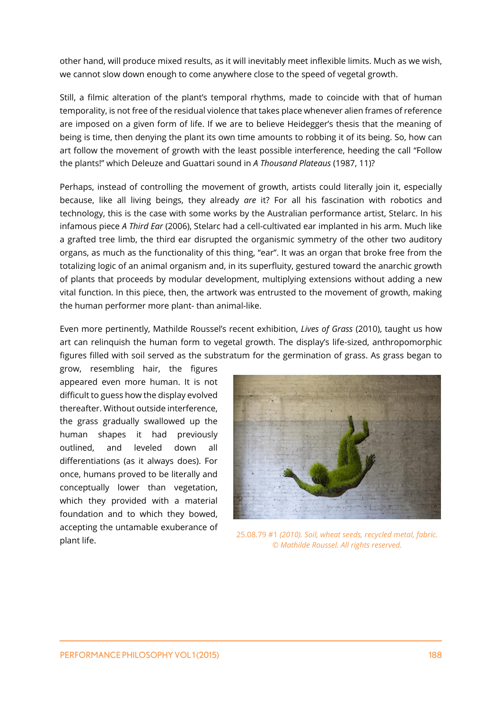other hand, will produce mixed results, as it will inevitably meet inflexible limits. Much as we wish, we cannot slow down enough to come anywhere close to the speed of vegetal growth.

Still, a filmic alteration of the plant's temporal rhythms, made to coincide with that of human temporality, is not free of the residual violence that takes place whenever alien frames of reference are imposed on a given form of life. If we are to believe Heidegger's thesis that the meaning of being is time, then denying the plant its own time amounts to robbing it of its being. So, how can art follow the movement of growth with the least possible interference, heeding the call "Follow the plants!" which Deleuze and Guattari sound in *A Thousand Plateaus* (1987, 11)?

Perhaps, instead of controlling the movement of growth, artists could literally join it, especially because, like all living beings, they already *are* it? For all his fascination with robotics and technology, this is the case with some works by the Australian performance artist, Stelarc. In his infamous piece *A Third Ear* (2006), Stelarc had a cell-cultivated ear implanted in his arm. Much like a grafted tree limb, the third ear disrupted the organismic symmetry of the other two auditory organs, as much as the functionality of this thing, "ear". It was an organ that broke free from the totalizing logic of an animal organism and, in its superfluity, gestured toward the anarchic growth of plants that proceeds by modular development, multiplying extensions without adding a new vital function. In this piece, then, the artwork was entrusted to the movement of growth, making the human performer more plant- than animal-like.

Even more pertinently, Mathilde Roussel's recent exhibition, *Lives of Grass* (2010), taught us how art can relinquish the human form to vegetal growth. The display's life-sized, anthropomorphic figures filled with soil served as the substratum for the germination of grass. As grass began to

grow, resembling hair, the figures appeared even more human. It is not difficult to guess how the display evolved thereafter. Without outside interference, the grass gradually swallowed up the human shapes it had previously outlined, and leveled down all differentiations (as it always does). For once, humans proved to be literally and conceptually lower than vegetation, which they provided with a material foundation and to which they bowed, accepting the untamable exuberance of



plant life. 25.08.79 #1 *(2010). Soil, wheat seeds, recycled metal, fabric. © Mathilde Roussel. All rights reserved.*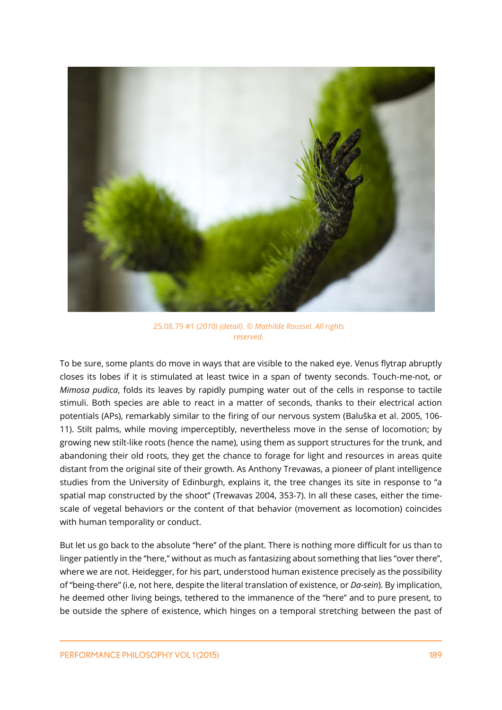

25.08.79 #1 *(2010) (detail). © Mathilde Roussel. All rights reserved.*

To be sure, some plants do move in ways that are visible to the naked eye. Venus flytrap abruptly closes its lobes if it is stimulated at least twice in a span of twenty seconds. Touch-me-not, or *Mimosa pudica*, folds its leaves by rapidly pumping water out of the cells in response to tactile stimuli. Both species are able to react in a matter of seconds, thanks to their electrical action potentials (APs), remarkably similar to the firing of our nervous system (Baluška et al. 2005, 106- 11). Stilt palms, while moving imperceptibly, nevertheless move in the sense of locomotion; by growing new stilt-like roots (hence the name), using them as support structures for the trunk, and abandoning their old roots, they get the chance to forage for light and resources in areas quite distant from the original site of their growth. As Anthony Trevawas, a pioneer of plant intelligence studies from the University of Edinburgh, explains it, the tree changes its site in response to "a spatial map constructed by the shoot" (Trewavas 2004, 353-7). In all these cases, either the timescale of vegetal behaviors or the content of that behavior (movement as locomotion) coincides with human temporality or conduct.

But let us go back to the absolute "here" of the plant. There is nothing more difficult for us than to linger patiently in the "here," without as much as fantasizing about something that lies "over there", where we are not. Heidegger, for his part, understood human existence precisely as the possibility of "being-there" (i.e, not here, despite the literal translation of existence, or *Da-sein*). By implication, he deemed other living beings, tethered to the immanence of the "here" and to pure present, to be outside the sphere of existence, which hinges on a temporal stretching between the past of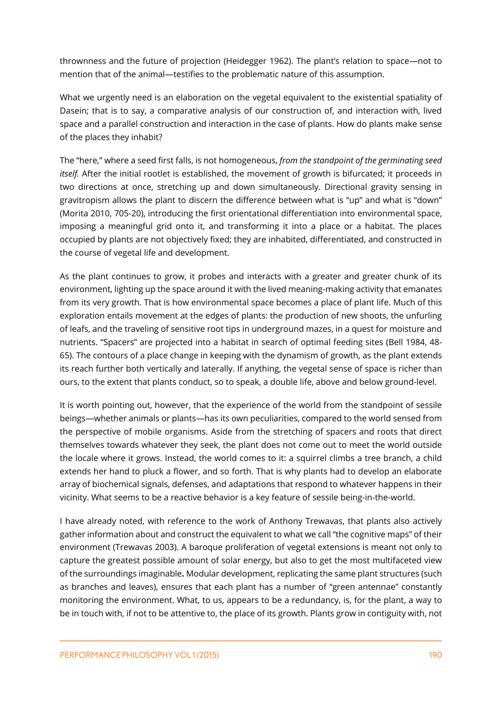thrownness and the future of projection (Heidegger 1962). The plant's relation to space—not to mention that of the animal—testifies to the problematic nature of this assumption.

What we urgently need is an elaboration on the vegetal equivalent to the existential spatiality of Dasein; that is to say, a comparative analysis of our construction of, and interaction with, lived space and a parallel construction and interaction in the case of plants. How do plants make sense of the places they inhabit?

The "here," where a seed first falls, is not homogeneous, *from the standpoint of the germinating seed itself.* After the initial rootlet is established, the movement of growth is bifurcated; it proceeds in two directions at once, stretching up and down simultaneously. Directional gravity sensing in gravitropism allows the plant to discern the difference between what is "up" and what is "down" (Morita 2010, 705-20), introducing the first orientational differentiation into environmental space, imposing a meaningful grid onto it, and transforming it into a place or a habitat. The places occupied by plants are not objectively fixed; they are inhabited, differentiated, and constructed in the course of vegetal life and development.

As the plant continues to grow, it probes and interacts with a greater and greater chunk of its environment, lighting up the space around it with the lived meaning-making activity that emanates from its very growth. That is how environmental space becomes a place of plant life. Much of this exploration entails movement at the edges of plants: the production of new shoots, the unfurling of leafs, and the traveling of sensitive root tips in underground mazes, in a quest for moisture and nutrients. "Spacers" are projected into a habitat in search of optimal feeding sites (Bell 1984, 48- 65). The contours of a place change in keeping with the dynamism of growth, as the plant extends its reach further both vertically and laterally. If anything, the vegetal sense of space is richer than ours, to the extent that plants conduct, so to speak, a double life, above and below ground-level.

It is worth pointing out, however, that the experience of the world from the standpoint of sessile beings—whether animals or plants—has its own peculiarities, compared to the world sensed from the perspective of mobile organisms. Aside from the stretching of spacers and roots that direct themselves towards whatever they seek, the plant does not come out to meet the world outside the locale where it grows. Instead, the world comes to it: a squirrel climbs a tree branch, a child extends her hand to pluck a flower, and so forth. That is why plants had to develop an elaborate array of biochemical signals, defenses, and adaptations that respond to whatever happens in their vicinity. What seems to be a reactive behavior is a key feature of sessile being-in-the-world.

I have already noted, with reference to the work of Anthony Trewavas, that plants also actively gather information about and construct the equivalent to what we call "the cognitive maps" of their environment (Trewavas 2003). A baroque proliferation of vegetal extensions is meant not only to capture the greatest possible amount of solar energy, but also to get the most multifaceted view of the surroundings imaginable**.** Modular development, replicating the same plant structures (such as branches and leaves), ensures that each plant has a number of "green antennae" constantly monitoring the environment. What, to us, appears to be a redundancy, is, for the plant, a way to be in touch with, if not to be attentive to, the place of its growth. Plants grow in contiguity with, not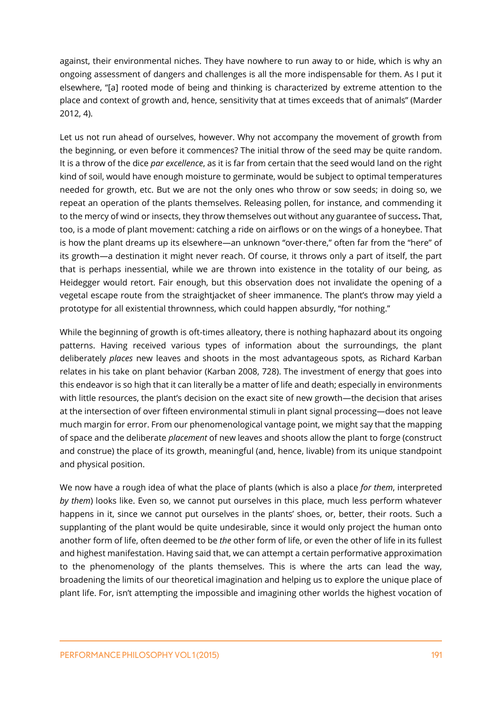against, their environmental niches. They have nowhere to run away to or hide, which is why an ongoing assessment of dangers and challenges is all the more indispensable for them. As I put it elsewhere, "[a] rooted mode of being and thinking is characterized by extreme attention to the place and context of growth and, hence, sensitivity that at times exceeds that of animals" (Marder 2012, 4).

Let us not run ahead of ourselves, however. Why not accompany the movement of growth from the beginning, or even before it commences? The initial throw of the seed may be quite random. It is a throw of the dice *par excellence*, as it is far from certain that the seed would land on the right kind of soil, would have enough moisture to germinate, would be subject to optimal temperatures needed for growth, etc. But we are not the only ones who throw or sow seeds; in doing so, we repeat an operation of the plants themselves. Releasing pollen, for instance, and commending it to the mercy of wind or insects, they throw themselves out without any guarantee of success**.** That, too, is a mode of plant movement: catching a ride on airflows or on the wings of a honeybee. That is how the plant dreams up its elsewhere—an unknown "over-there," often far from the "here" of its growth—a destination it might never reach. Of course, it throws only a part of itself, the part that is perhaps inessential, while we are thrown into existence in the totality of our being, as Heidegger would retort. Fair enough, but this observation does not invalidate the opening of a vegetal escape route from the straightjacket of sheer immanence. The plant's throw may yield a prototype for all existential thrownness, which could happen absurdly, "for nothing."

While the beginning of growth is oft-times alleatory, there is nothing haphazard about its ongoing patterns. Having received various types of information about the surroundings, the plant deliberately *places* new leaves and shoots in the most advantageous spots, as Richard Karban relates in his take on plant behavior (Karban 2008, 728). The investment of energy that goes into this endeavor is so high that it can literally be a matter of life and death; especially in environments with little resources, the plant's decision on the exact site of new growth—the decision that arises at the intersection of over fifteen environmental stimuli in plant signal processing—does not leave much margin for error. From our phenomenological vantage point, we might say that the mapping of space and the deliberate *placement* of new leaves and shoots allow the plant to forge (construct and construe) the place of its growth, meaningful (and, hence, livable) from its unique standpoint and physical position.

We now have a rough idea of what the place of plants (which is also a place *for them*, interpreted *by them*) looks like. Even so, we cannot put ourselves in this place, much less perform whatever happens in it, since we cannot put ourselves in the plants' shoes, or, better, their roots. Such a supplanting of the plant would be quite undesirable, since it would only project the human onto another form of life, often deemed to be *the* other form of life, or even the other of life in its fullest and highest manifestation. Having said that, we can attempt a certain performative approximation to the phenomenology of the plants themselves. This is where the arts can lead the way, broadening the limits of our theoretical imagination and helping us to explore the unique place of plant life. For, isn't attempting the impossible and imagining other worlds the highest vocation of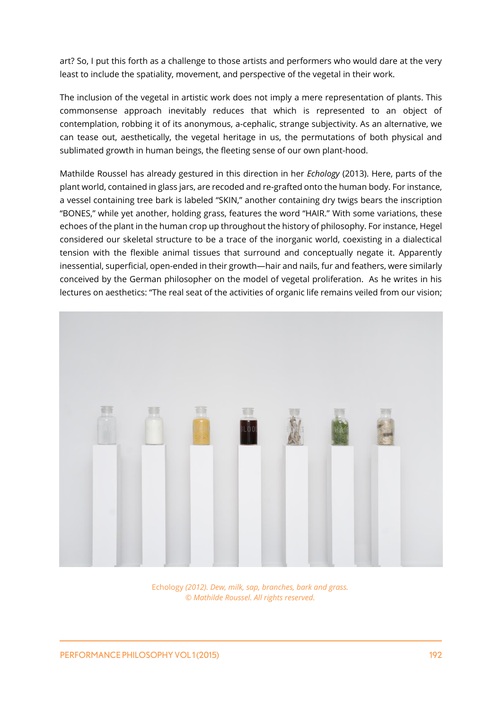art? So, I put this forth as a challenge to those artists and performers who would dare at the very least to include the spatiality, movement, and perspective of the vegetal in their work.

The inclusion of the vegetal in artistic work does not imply a mere representation of plants. This commonsense approach inevitably reduces that which is represented to an object of contemplation, robbing it of its anonymous, a-cephalic, strange subjectivity. As an alternative, we can tease out, aesthetically, the vegetal heritage in us, the permutations of both physical and sublimated growth in human beings, the fleeting sense of our own plant-hood.

Mathilde Roussel has already gestured in this direction in her *Echology* (2013). Here, parts of the plant world, contained in glass jars, are recoded and re-grafted onto the human body. For instance, a vessel containing tree bark is labeled "SKIN," another containing dry twigs bears the inscription "BONES," while yet another, holding grass, features the word "HAIR." With some variations, these echoes of the plant in the human crop up throughout the history of philosophy. For instance, Hegel considered our skeletal structure to be a trace of the inorganic world, coexisting in a dialectical tension with the flexible animal tissues that surround and conceptually negate it. Apparently inessential, superficial, open-ended in their growth—hair and nails, fur and feathers, were similarly conceived by the German philosopher on the model of vegetal proliferation. As he writes in his lectures on aesthetics: "The real seat of the activities of organic life remains veiled from our vision;



Echology *(2012). Dew, milk, sap, branches, bark and grass. © Mathilde Roussel. All rights reserved.*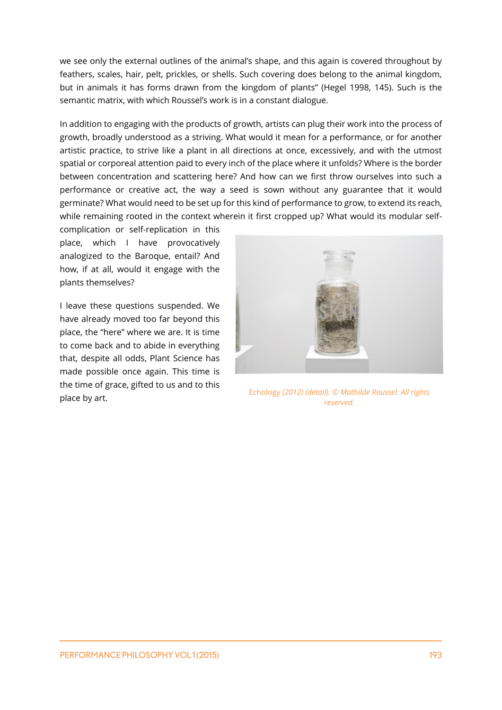we see only the external outlines of the animal's shape, and this again is covered throughout by feathers, scales, hair, pelt, prickles, or shells. Such covering does belong to the animal kingdom, but in animals it has forms drawn from the kingdom of plants" (Hegel 1998, 145). Such is the semantic matrix, with which Roussel's work is in a constant dialogue.

In addition to engaging with the products of growth, artists can plug their work into the process of growth, broadly understood as a striving. What would it mean for a performance, or for another artistic practice, to strive like a plant in all directions at once, excessively, and with the utmost spatial or corporeal attention paid to every inch of the place where it unfolds? Where is the border between concentration and scattering here? And how can we first throw ourselves into such a performance or creative act, the way a seed is sown without any guarantee that it would germinate? What would need to be set up for this kind of performance to grow, to extend its reach, while remaining rooted in the context wherein it first cropped up? What would its modular self-

complication or self-replication in this place, which I have provocatively analogized to the Baroque, entail? And how, if at all, would it engage with the plants themselves?

I leave these questions suspended. We have already moved too far beyond this place, the "here" where we are. It is time to come back and to abide in everything that, despite all odds, Plant Science has made possible once again. This time is the time of grace, gifted to us and to this



place by art. Echology *(2012) (detail). © Mathilde Roussel. All rights reserved.*